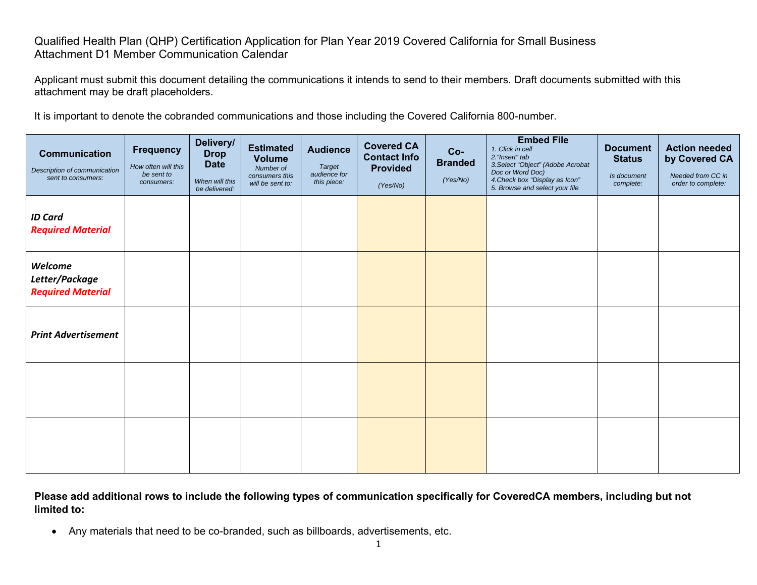## Qualified Health Plan (QHP) Certification Application for Plan Year 2019 Covered California for Small Business Attachment D1 Member Communication Calendar

Applicant must submit this document detailing the communications it intends to send to their members. Draft documents submitted with this attachment may be draft placeholders.

It is important to denote the cobranded communications and those including the Covered California 800-number.

| Communication<br>Description of communication<br>sent to consumers: | <b>Frequency</b><br>How often will this<br>be sent to<br>consumers: | Delivery/<br><b>Drop</b><br><b>Date</b><br>When will this<br>be delivered: | <b>Estimated</b><br><b>Volume</b><br>Number of<br>consumers this<br>will be sent to: | <b>Audience</b><br><b>Target</b><br>audience for<br>this piece: | <b>Covered CA</b><br><b>Contact Info</b><br><b>Provided</b><br>(Yes/No) | Co-<br><b>Branded</b><br>(Yes/No) | <b>Embed File</b><br>1. Click in cell<br>2. "Insert" tab<br>3. Select "Object" (Adobe Acrobat<br>Doc or Word Doc)<br>4. Check box "Display as Icon"<br>5. Browse and select your file | <b>Document</b><br><b>Status</b><br>Is document<br>complete: | <b>Action needed</b><br>by Covered CA<br>Needed from CC in<br>order to complete: |
|---------------------------------------------------------------------|---------------------------------------------------------------------|----------------------------------------------------------------------------|--------------------------------------------------------------------------------------|-----------------------------------------------------------------|-------------------------------------------------------------------------|-----------------------------------|---------------------------------------------------------------------------------------------------------------------------------------------------------------------------------------|--------------------------------------------------------------|----------------------------------------------------------------------------------|
| <b>ID Card</b><br><b>Required Material</b>                          |                                                                     |                                                                            |                                                                                      |                                                                 |                                                                         |                                   |                                                                                                                                                                                       |                                                              |                                                                                  |
| Welcome<br>Letter/Package<br><b>Required Material</b>               |                                                                     |                                                                            |                                                                                      |                                                                 |                                                                         |                                   |                                                                                                                                                                                       |                                                              |                                                                                  |
| <b>Print Advertisement</b>                                          |                                                                     |                                                                            |                                                                                      |                                                                 |                                                                         |                                   |                                                                                                                                                                                       |                                                              |                                                                                  |
|                                                                     |                                                                     |                                                                            |                                                                                      |                                                                 |                                                                         |                                   |                                                                                                                                                                                       |                                                              |                                                                                  |
|                                                                     |                                                                     |                                                                            |                                                                                      |                                                                 |                                                                         |                                   |                                                                                                                                                                                       |                                                              |                                                                                  |

**Please add additional rows to include the following types of communication specifically for CoveredCA members, including but not limited to:** 

Any materials that need to be co-branded, such as billboards, advertisements, etc.